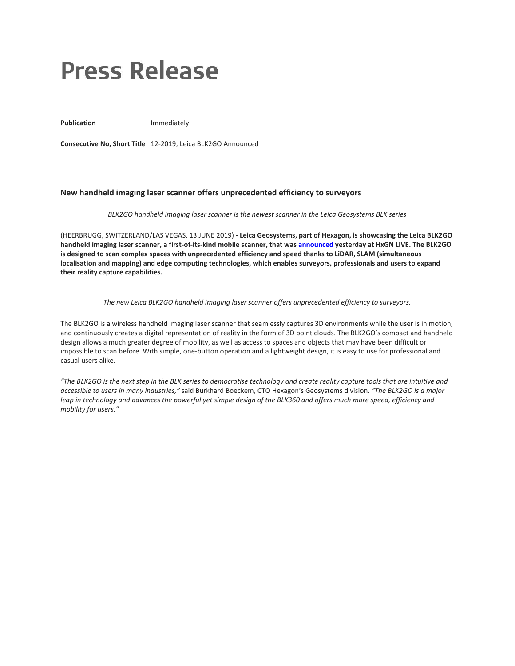# **Press Release**

Publication **Immediately** 

**Consecutive No, Short Title** 12-2019, Leica BLK2GO Announced

## **New handheld imaging laser scanner offers unprecedented efficiency to surveyors**

## *BLK2GO handheld imaging laser scanner is the newest scanner in the Leica Geosystems BLK series*

(HEERBRUGG, SWITZERLAND/LAS VEGAS, 13 JUNE 2019) **- Leica Geosystems, part of Hexagon, is showcasing the Leica BLK2GO handheld imaging laser scanner, a first-of-its-kind mobile scanner, that was [announced](https://u7061146.ct.sendgrid.net/wf/click?upn=G62jSYfZdO-2F12d8lSllQBzIdVdttCSmPPVkF8FXcvzeRNJs3Fj-2F-2Bjw5JO8dBP2FNWTJ7ivaSeKfG07XSHAODpQLnWDK4tRjHoN4964GI-2FVKJzcezq7BTPxTyC7x53DDJ8kio-2B075FZFMG6Vh9v-2FH242L0FhHCKCtgsBMPBMNVhRs13gc7qdkF6diwVdHGTyF80n0s72Qd-2FfC9svGRAJxEw-3D-3D_na7mmnMYCPEQlNb6b5HYrd4XHWokFL-2B5i1wFm8tb14GVn1BQbb7nFld2JOX7L7oG7y5PThqFX6hY21u9wYtbiO3BFkEJcMQiKAJZ9By98nN-2BTI4auuXBeEpbgjTyAIZx3lBcyRDlxcw78yCMSAa6cvp64gRLHPrYE-2FTFeGv5kN-2BJMv7QrtWx50RjMVmpaYqMeo80w1CGqNZzhAcwfzPaOvj39PtUoQwlj5fcijLm27xKAN-2FO8jx-2F0iyHAV4eNwxAvb9J1RMGNnqh82l11YKvK9kaei6U5NX6KJprHiEBIkii8h3bMJyPW-2BZmBhAjAH2bhg-2BLCebSSCHZHfi-2Fty5KortT8-2FO2F5QJzHDTg1qeVts-3D) yesterday at HxGN LIVE. The BLK2GO is designed to scan complex spaces with unprecedented efficiency and speed thanks to LiDAR, SLAM (simultaneous localisation and mapping) and edge computing technologies, which enables surveyors, professionals and users to expand their reality capture capabilities.**

## *The new Leica BLK2GO handheld imaging laser scanner offers unprecedented efficiency to surveyors.*

The BLK2GO is a wireless handheld imaging laser scanner that seamlessly captures 3D environments while the user is in motion, and continuously creates a digital representation of reality in the form of 3D point clouds. The BLK2GO's compact and handheld design allows a much greater degree of mobility, as well as access to spaces and objects that may have been difficult or impossible to scan before. With simple, one-button operation and a lightweight design, it is easy to use for professional and casual users alike.

*"The BLK2GO is the next step in the BLK series to democratise technology and create reality capture tools that are intuitive and accessible to users in many industries,"* said Burkhard Boeckem, CTO Hexagon's Geosystems division. *"The BLK2GO is a major leap in technology and advances the powerful yet simple design of the BLK360 and offers much more speed, efficiency and mobility for users."*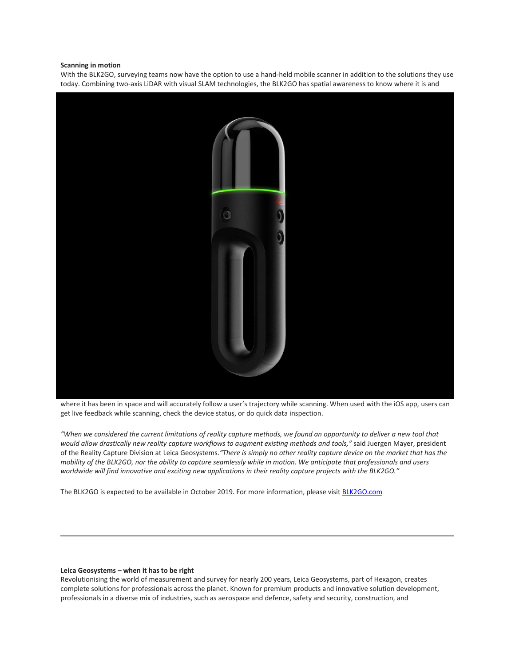## **Scanning in motion**

With the BLK2GO, surveying teams now have the option to use a hand-held mobile scanner in addition to the solutions they use today. Combining two-axis LiDAR with visual SLAM technologies, the BLK2GO has spatial awareness to know where it is and



where it has been in space and will accurately follow a user's trajectory while scanning. When used with the iOS app, users can get live feedback while scanning, check the device status, or do quick data inspection.

*"When we considered the current limitations of reality capture methods, we found an opportunity to deliver a new tool that would allow drastically new reality capture workflows to augment existing methods and tools,"* said Juergen Mayer, president of the Reality Capture Division at Leica Geosystems.*"There is simply no other reality capture device on the market that has the mobility of the BLK2GO, nor the ability to capture seamlessly while in motion. We anticipate that professionals and users worldwide will find innovative and exciting new applications in their reality capture projects with the BLK2GO."*

The BLK2GO is expected to be available in October 2019. For more information, please visit **[BLK2GO.com](https://u7061146.ct.sendgrid.net/wf/click?upn=G62jSYfZdO-2F12d8lSllQBxvZb-2BfLXFeG1P5eZQje95g-3D_na7mmnMYCPEQlNb6b5HYrd4XHWokFL-2B5i1wFm8tb14GVn1BQbb7nFld2JOX7L7oG7y5PThqFX6hY21u9wYtbiO3BFkEJcMQiKAJZ9By98nN-2BTI4auuXBeEpbgjTyAIZx3lBcyRDlxcw78yCMSAa6cvp64gRLHPrYE-2FTFeGv5kN-2BJMv7QrtWx50RjMVmpaYqM1odvmmxJeIKkBwQgNxqmHsyWXvrQX0LAdInzRx4-2BWt5U39VByU0wWCreMT9FoQUmZvq322PwrgZRpwaQ0hnepFmI9xEZPWjNt8gbINVKVrwuNjPh79BiciJIz0K-2Fbgon8taC9HgJ410DvZX-2BItmupllKyJMorXPxhMR70QtYFRQ-3D)** 

#### **Leica Geosystems – when it has to be right**

Revolutionising the world of measurement and survey for nearly 200 years, Leica Geosystems, part of Hexagon, creates complete solutions for professionals across the planet. Known for premium products and innovative solution development, professionals in a diverse mix of industries, such as aerospace and defence, safety and security, construction, and